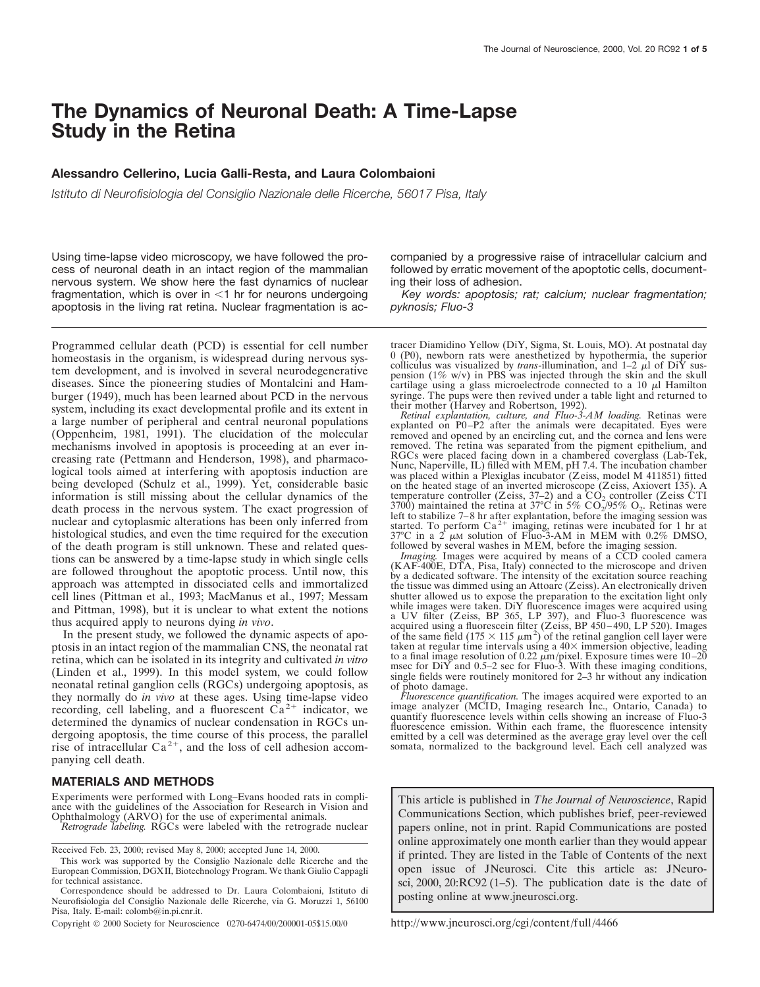# **The Dynamics of Neuronal Death: A Time-Lapse Study in the Retina**

## **Alessandro Cellerino, Lucia Galli-Resta, and Laura Colombaioni**

*Istituto di Neurofisiologia del Consiglio Nazionale delle Ricerche, 56017 Pisa, Italy*

Using time-lapse video microscopy, we have followed the process of neuronal death in an intact region of the mammalian nervous system. We show here the fast dynamics of nuclear fragmentation, which is over in  $\leq$ 1 hr for neurons undergoing apoptosis in the living rat retina. Nuclear fragmentation is ac-

Programmed cellular death (PCD) is essential for cell number homeostasis in the organism, is widespread during nervous system development, and is involved in several neurodegenerative diseases. Since the pioneering studies of Montalcini and Hamburger (1949), much has been learned about PCD in the nervous system, including its exact developmental profile and its extent in a large number of peripheral and central neuronal populations (Oppenheim, 1981, 1991). The elucidation of the molecular mechanisms involved in apoptosis is proceeding at an ever increasing rate (Pettmann and Henderson, 1998), and pharmacological tools aimed at interfering with apoptosis induction are being developed (Schulz et al., 1999). Yet, considerable basic information is still missing about the cellular dynamics of the death process in the nervous system. The exact progression of nuclear and cytoplasmic alterations has been only inferred from histological studies, and even the time required for the execution of the death program is still unknown. These and related questions can be answered by a time-lapse study in which single cells are followed throughout the apoptotic process. Until now, this approach was attempted in dissociated cells and immortalized cell lines (Pittman et al., 1993; MacManus et al., 1997; Messam and Pittman, 1998), but it is unclear to what extent the notions thus acquired apply to neurons dying *in vivo*.

In the present study, we followed the dynamic aspects of apoptosis in an intact region of the mammalian CNS, the neonatal rat retina, which can be isolated in its integrity and cultivated *in vitro* (Linden et al., 1999). In this model system, we could follow neonatal retinal ganglion cells (RGCs) undergoing apoptosis, as they normally do *in vivo* at these ages. Using time-lapse video recording, cell labeling, and a fluorescent  $\tilde{Ca}^{2+}$  indicator, we determined the dynamics of nuclear condensation in RGCs undergoing apoptosis, the time course of this process, the parallel rise of intracellular  $Ca^{2+}$ , and the loss of cell adhesion accompanying cell death.

# **MATERIALS AND METHODS**

Experiments were performed with Long–Evans hooded rats in compliance with the guidelines of the Association for Research in Vision and Ophthalmology (ARVO) for the use of experimental animals. *Retrograde labeling.* RGCs were labeled with the retrograde nuclear

Received Feb. 23, 2000; revised May 8, 2000; accepted June 14, 2000.

Copyright © 2000 Society for Neuroscience 0270-6474/00/200001-05\$15.00/0

companied by a progressive raise of intracellular calcium and followed by erratic movement of the apoptotic cells, documenting their loss of adhesion.

*Key words: apoptosis; rat; calcium; nuclear fragmentation; pyknosis; Fluo-3*

tracer Diamidino Yellow (DiY, Sigma, St. Louis, MO). At postnatal day 0 (P0), newborn rats were anesthetized by hypothermia, the superior colliculus was visualized by *trans*-illumination, and  $1-2$   $\mu$ l of DiY suspension  $(1\% \text{ w/v})$  in PBS was injected through the skin and the skull cartilage using a glass microelectrode connected to a 10  $\mu$ l Hamilton syringe. The pups were then revived under a table light and returned to

their mother (Harvey and Robertson, 1992). *Retinal explantation, culture, and Fluo-3-AM loading.* Retinas were explanted on P0–P2 after the animals were decapitated. Eyes were removed and opened by an encircling cut, and the cornea and lens were removed. The retina was separated from the pigment epithelium, and RGCs were placed facing down in a chambered coverglass (Lab-Tek, Nunc, Naperville, IL) filled with MEM, pH 7.4. The incubation chamber was placed within a Plexiglas incubator (Zeiss, model M 411851) fitted on the heated stage of an inverted microscope (Zeiss, Axiovert 135). A temperature controller (Zeiss,  $37-2$ ) and a  $CO<sub>2</sub>$  controller (Zeiss CTI 3700) maintained the retina at 37°C in 5% CO<sub>2</sub>/95% O<sub>2</sub>. Retinas were left to stabilize 7–8 hr after explantation, before the imaging session was started. To perform  $Ca^{2+}$  imaging, retinas were incubated for 1 hr at 37°C in a 2  $\mu$ M solution of Fluo-3-AM in MEM with 0.2% DMSO, followed by several washes in MEM, before the imaging session.

*Imaging.* Images were acquired by means of a CCD cooled camera (KAF-400E, DTA, Pisa, Italy) connected to the microscope and driven by a dedicated software. The intensity of the excitation source reaching the tissue was dimmed using an Attoarc (Zeiss). An electronically driven shutter allowed us to expose the preparation to the excitation light only while images were taken. DiY fluorescence images were acquired using a UV filter (Zeiss, BP 365, LP 397), and Fluo-3 fluorescence was acquired using a fluorescein filter (Zeiss, BP 450–490, LP 520). Images of the same field  $(175 \times 115 \mu m^2)$  of the retinal ganglion cell layer were taken at regular time intervals using a  $40\times$  immersion objective, leading to a final image resolution of 0.22  $\mu$ m/pixel. Exposure times were 10–20 msec for DiY and 0.5–2 sec for Fluo-3. With these imaging conditions, single fields were routinely monitored for 2–3 hr without any indication of photo damage.

*Fluorescence quantification.* The images acquired were exported to an image analyzer (MCID, Imaging research Inc., Ontario, Canada) to quantify fluorescence levels within cells showing an increase of Fluo-3 fluorescence emission. Within each frame, the fluorescence intensity emitted by a cell was determined as the average gray level over the cell somata, normalized to the background level. Each cell analyzed was

This article is published in *The Journal of Neuroscience*, Rapid Communications Section, which publishes brief, peer-reviewed papers online, not in print. Rapid Communications are posted online approximately one month earlier than they would appear if printed. They are listed in the Table of Contents of the next open issue of JNeurosci. Cite this article as: JNeurosci, 2000, 20:RC92 (1–5). The publication date is the date of posting online at www.jneurosci.org.

http://www.jneurosci.org/cgi/content/full/4466

This work was supported by the Consiglio Nazionale delle Ricerche and the European Commission, DGXII, Biotechnology Program. We thank Giulio Cappagli for technical assistance.

Correspondence should be addressed to Dr. Laura Colombaioni, Istituto di Neurofisiologia del Consiglio Nazionale delle Ricerche, via G. Moruzzi 1, 56100 Pisa, Italy. E-mail: colomb@in.pi.cnr.it.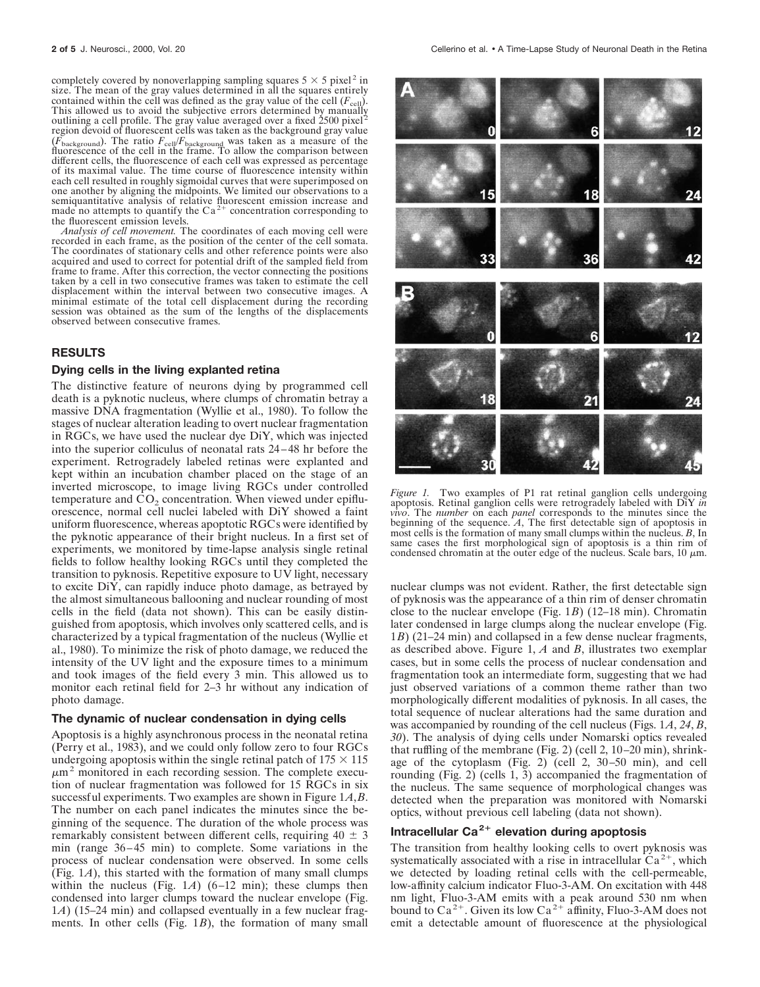completely covered by nonoverlapping sampling squares  $5 \times 5$  pixel<sup>2</sup> in size. The mean of the gray values determined in all the squares entirely<br>contained within the cell was defined as the gray value of the cell ( $F_{\text{cell}}$ ).<br>This allowed us to avoid the subjective errors determined by manual region devoid of fluorescent cells was taken as the background gray value  $(F_{\text{background}})$ . The ratio  $F_{\text{cell}}/F_{\text{background}}$  was taken as a measure of the fluorescence of the cell in the frame. To allow the comparison between different cells, the fluorescence of each cell was expressed as percentage of its maximal value. The time course of fluorescence intensity within each cell resulted in roughly sigmoidal curves that were superimposed on one another by aligning the midpoints. We limited our observations to a semiquantitative analysis of relative fluorescent emission increase and made no attempts to quantify the  $Ca<sup>2+</sup>$  concentration corresponding to the fluorescent emission levels.

*Analysis of cell movement.* The coordinates of each moving cell were recorded in each frame, as the position of the center of the cell somata. The coordinates of stationary cells and other reference points were also acquired and used to correct for potential drift of the sampled field from frame to frame. After this correction, the vector connecting the positions taken by a cell in two consecutive frames was taken to estimate the cell displacement within the interval between two consecutive images. A minimal estimate of the total cell displacement during the recording session was obtained as the sum of the lengths of the displacements observed between consecutive frames.

# **RESULTS**

## **Dying cells in the living explanted retina**

The distinctive feature of neurons dying by programmed cell death is a pyknotic nucleus, where clumps of chromatin betray a massive DNA fragmentation (Wyllie et al., 1980). To follow the stages of nuclear alteration leading to overt nuclear fragmentation in RGCs, we have used the nuclear dye DiY, which was injected into the superior colliculus of neonatal rats 24–48 hr before the experiment. Retrogradely labeled retinas were explanted and kept within an incubation chamber placed on the stage of an inverted microscope, to image living RGCs under controlled temperature and  $CO<sub>2</sub>$  concentration. When viewed under epifluorescence, normal cell nuclei labeled with DiY showed a faint uniform fluorescence, whereas apoptotic RGCs were identified by the pyknotic appearance of their bright nucleus. In a first set of experiments, we monitored by time-lapse analysis single retinal fields to follow healthy looking RGCs until they completed the transition to pyknosis. Repetitive exposure to UV light, necessary to excite DiY, can rapidly induce photo damage, as betrayed by the almost simultaneous ballooning and nuclear rounding of most cells in the field (data not shown). This can be easily distinguished from apoptosis, which involves only scattered cells, and is characterized by a typical fragmentation of the nucleus (Wyllie et al., 1980). To minimize the risk of photo damage, we reduced the intensity of the UV light and the exposure times to a minimum and took images of the field every 3 min. This allowed us to monitor each retinal field for 2–3 hr without any indication of photo damage.

#### **The dynamic of nuclear condensation in dying cells**

Apoptosis is a highly asynchronous process in the neonatal retina (Perry et al., 1983), and we could only follow zero to four RGCs undergoing apoptosis within the single retinal patch of  $175 \times 115$  $\mu$ m<sup>2</sup> monitored in each recording session. The complete execution of nuclear fragmentation was followed for 15 RGCs in six successful experiments. Two examples are shown in Figure 1*A*,*B*. The number on each panel indicates the minutes since the beginning of the sequence. The duration of the whole process was remarkably consistent between different cells, requiring  $40 \pm 3$ min (range 36–45 min) to complete. Some variations in the process of nuclear condensation were observed. In some cells (Fig. 1*A*), this started with the formation of many small clumps within the nucleus (Fig. 1*A*) (6–12 min); these clumps then condensed into larger clumps toward the nuclear envelope (Fig. 1*A*) (15–24 min) and collapsed eventually in a few nuclear fragments. In other cells (Fig. 1*B*), the formation of many small



*Figure 1.* Two examples of P1 rat retinal ganglion cells undergoing apoptosis. Retinal ganglion cells were retrogradely labeled with DiY *in vivo*. The *number* on each *panel* corresponds to the minutes since the beginning of the sequence. *A*, The first detectable sign of apoptosis in most cells is the formation of many small clumps within the nucleus. *B*, In same cases the first morphological sign of apoptosis is a thin rim of condensed chromatin at the outer edge of the nucleus. Scale bars, 10  $\mu$ m.

nuclear clumps was not evident. Rather, the first detectable sign of pyknosis was the appearance of a thin rim of denser chromatin close to the nuclear envelope (Fig. 1*B*) (12–18 min). Chromatin later condensed in large clumps along the nuclear envelope (Fig. 1*B*) (21–24 min) and collapsed in a few dense nuclear fragments, as described above. Figure 1, *A* and *B*, illustrates two exemplar cases, but in some cells the process of nuclear condensation and fragmentation took an intermediate form, suggesting that we had just observed variations of a common theme rather than two morphologically different modalities of pyknosis. In all cases, the total sequence of nuclear alterations had the same duration and was accompanied by rounding of the cell nucleus (Figs. 1*A*, *24*, *B*, *30*). The analysis of dying cells under Nomarski optics revealed that ruffling of the membrane (Fig. 2) (cell 2, 10–20 min), shrinkage of the cytoplasm (Fig. 2) (cell 2, 30–50 min), and cell rounding (Fig. 2) (cells 1, 3) accompanied the fragmentation of the nucleus. The same sequence of morphological changes was detected when the preparation was monitored with Nomarski optics, without previous cell labeling (data not shown).

# **Intracellular Ca2**<sup>1</sup> **elevation during apoptosis**

The transition from healthy looking cells to overt pyknosis was systematically associated with a rise in intracellular  $Ca^{2+}$ , which we detected by loading retinal cells with the cell-permeable, low-affinity calcium indicator Fluo-3-AM. On excitation with 448 nm light, Fluo-3-AM emits with a peak around 530 nm when bound to Ca<sup>2+</sup>. Given its low Ca<sup>2+</sup> affinity, Fluo-3-AM does not emit a detectable amount of fluorescence at the physiological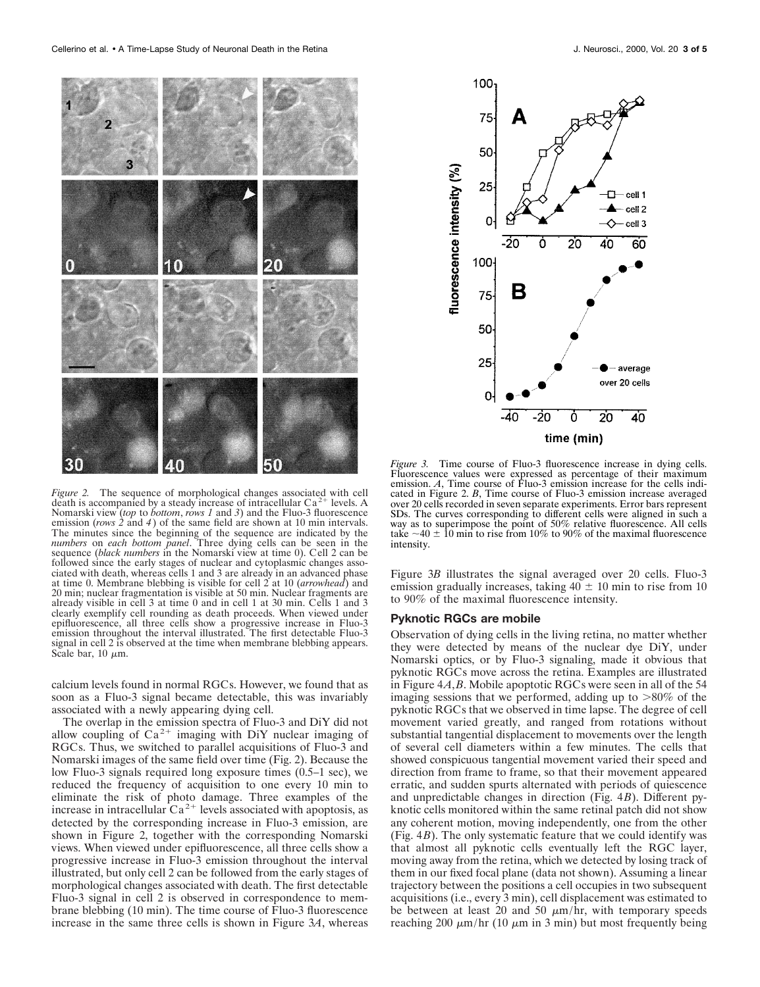

*Figure 2.* The sequence of morphological changes associated with cell death is accompanied by a steady increase of intracellular  $Ca^{2+}$  levels. A Nomarski view (*top* to *bottom*, *rows 1* and *3*) and the Fluo-3 fluorescence emission (*rows 2* and *4*) of the same field are shown at 10 min intervals. The minutes since the beginning of the sequence are indicated by the *numbers* on *each bottom panel*. Three dying cells can be seen in the sequence (*black numbers* in the Nomarski view at time 0). Cell 2 can be followed since the early stages of nuclear and cytoplasmic changes associated with death, whereas cells 1 and 3 are already in an advanced phase at time 0. Membrane blebbing is visible for cell 2 at 10 (*arrowhead*) and 20 min; nuclear fragmentation is visible at 50 min. Nuclear fragments are already visible in cell 3 at time 0 and in cell 1 at 30 min. Cells 1 and 3 clearly exemplify cell rounding as death proceeds. When viewed under epifluorescence, all three cells show a progressive increase in Fluo-3 emission throughout the interval illustrated. The first detectable Fluo-3 signal in cell 2 is observed at the time when membrane blebbing appears. Scale bar,  $10 \mu m$ .

calcium levels found in normal RGCs. However, we found that as soon as a Fluo-3 signal became detectable, this was invariably associated with a newly appearing dying cell.

The overlap in the emission spectra of Fluo-3 and DiY did not allow coupling of  $Ca^{2+}$  imaging with DiY nuclear imaging of RGCs. Thus, we switched to parallel acquisitions of Fluo-3 and Nomarski images of the same field over time (Fig. 2). Because the low Fluo-3 signals required long exposure times (0.5–1 sec), we reduced the frequency of acquisition to one every 10 min to eliminate the risk of photo damage. Three examples of the increase in intracellular  $Ca^{2+}$  levels associated with apoptosis, as detected by the corresponding increase in Fluo-3 emission, are shown in Figure 2, together with the corresponding Nomarski views. When viewed under epifluorescence, all three cells show a progressive increase in Fluo-3 emission throughout the interval illustrated, but only cell 2 can be followed from the early stages of morphological changes associated with death. The first detectable Fluo-3 signal in cell 2 is observed in correspondence to membrane blebbing (10 min). The time course of Fluo-3 fluorescence increase in the same three cells is shown in Figure 3*A*, whereas



*Figure 3.* Time course of Fluo-3 fluorescence increase in dying cells. Fluorescence values were expressed as percentage of their maximum emission. *A*, Time course of Fluo-3 emission increase for the cells indicated in Figure 2. *B*, Time course of Fluo-3 emission increase averaged over 20 cells recorded in seven separate experiments. Error bars represent SDs. The curves corresponding to different cells were aligned in such a way as to superimpose the point of 50% relative fluorescence. All cells take  ${\sim}40 \pm 10$  min to rise from 10% to 90% of the maximal fluorescence intensity.

Figure 3*B* illustrates the signal averaged over 20 cells. Fluo-3 emission gradually increases, taking  $40 \pm 10$  min to rise from 10 to 90% of the maximal fluorescence intensity.

#### **Pyknotic RGCs are mobile**

Observation of dying cells in the living retina, no matter whether they were detected by means of the nuclear dye DiY, under Nomarski optics, or by Fluo-3 signaling, made it obvious that pyknotic RGCs move across the retina. Examples are illustrated in Figure 4*A*,*B*. Mobile apoptotic RGCs were seen in all of the 54 imaging sessions that we performed, adding up to  $>80\%$  of the pyknotic RGCs that we observed in time lapse. The degree of cell movement varied greatly, and ranged from rotations without substantial tangential displacement to movements over the length of several cell diameters within a few minutes. The cells that showed conspicuous tangential movement varied their speed and direction from frame to frame, so that their movement appeared erratic, and sudden spurts alternated with periods of quiescence and unpredictable changes in direction (Fig. 4*B*). Different pyknotic cells monitored within the same retinal patch did not show any coherent motion, moving independently, one from the other (Fig. 4*B*). The only systematic feature that we could identify was that almost all pyknotic cells eventually left the RGC layer, moving away from the retina, which we detected by losing track of them in our fixed focal plane (data not shown). Assuming a linear trajectory between the positions a cell occupies in two subsequent acquisitions (i.e., every 3 min), cell displacement was estimated to be between at least 20 and 50  $\mu$ m/hr, with temporary speeds reaching 200  $\mu$ m/hr (10  $\mu$ m in 3 min) but most frequently being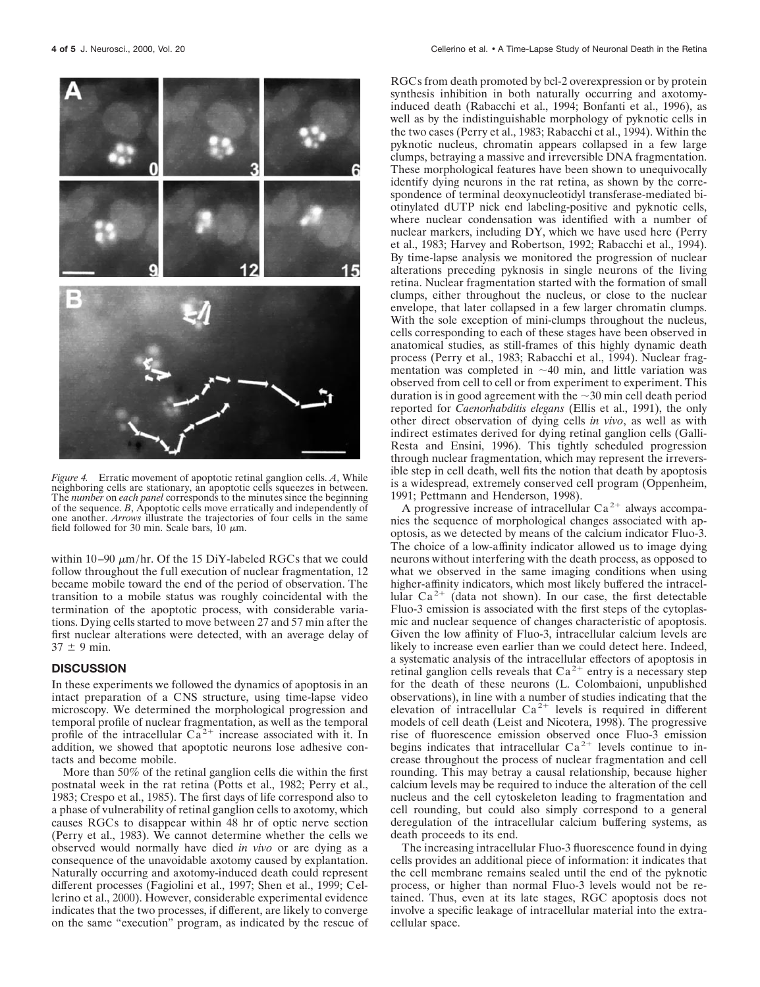

*Figure 4.* Erratic movement of apoptotic retinal ganglion cells. *A*, While neighboring cells are stationary, an apoptotic cells squeezes in between. The *number* on *each panel* corresponds to the minutes since the beginning of the sequence. *B*, Apoptotic cells move erratically and independently of one another. *Arrows* illustrate the trajectories of four cells in the same field followed for 30 min. Scale bars,  $10 \mu m$ .

within 10–90  $\mu$ m/hr. Of the 15 DiY-labeled RGCs that we could follow throughout the full execution of nuclear fragmentation, 12 became mobile toward the end of the period of observation. The transition to a mobile status was roughly coincidental with the termination of the apoptotic process, with considerable variations. Dying cells started to move between 27 and 57 min after the first nuclear alterations were detected, with an average delay of  $37 \pm 9$  min.

# **DISCUSSION**

In these experiments we followed the dynamics of apoptosis in an intact preparation of a CNS structure, using time-lapse video microscopy. We determined the morphological progression and temporal profile of nuclear fragmentation, as well as the temporal profile of the intracellular  $Ca^{2+}$  increase associated with it. In addition, we showed that apoptotic neurons lose adhesive contacts and become mobile.

More than 50% of the retinal ganglion cells die within the first postnatal week in the rat retina (Potts et al., 1982; Perry et al., 1983; Crespo et al., 1985). The first days of life correspond also to a phase of vulnerability of retinal ganglion cells to axotomy, which causes RGCs to disappear within 48 hr of optic nerve section (Perry et al., 1983). We cannot determine whether the cells we observed would normally have died *in vivo* or are dying as a consequence of the unavoidable axotomy caused by explantation. Naturally occurring and axotomy-induced death could represent different processes (Fagiolini et al., 1997; Shen et al., 1999; Cellerino et al., 2000). However, considerable experimental evidence indicates that the two processes, if different, are likely to converge on the same "execution" program, as indicated by the rescue of

RGCs from death promoted by bcl-2 overexpression or by protein synthesis inhibition in both naturally occurring and axotomyinduced death (Rabacchi et al., 1994; Bonfanti et al., 1996), as well as by the indistinguishable morphology of pyknotic cells in the two cases (Perry et al., 1983; Rabacchi et al., 1994). Within the pyknotic nucleus, chromatin appears collapsed in a few large clumps, betraying a massive and irreversible DNA fragmentation. These morphological features have been shown to unequivocally identify dying neurons in the rat retina, as shown by the correspondence of terminal deoxynucleotidyl transferase-mediated biotinylated dUTP nick end labeling-positive and pyknotic cells, where nuclear condensation was identified with a number of nuclear markers, including DY, which we have used here (Perry et al., 1983; Harvey and Robertson, 1992; Rabacchi et al., 1994). By time-lapse analysis we monitored the progression of nuclear alterations preceding pyknosis in single neurons of the living retina. Nuclear fragmentation started with the formation of small clumps, either throughout the nucleus, or close to the nuclear envelope, that later collapsed in a few larger chromatin clumps. With the sole exception of mini-clumps throughout the nucleus, cells corresponding to each of these stages have been observed in anatomical studies, as still-frames of this highly dynamic death process (Perry et al., 1983; Rabacchi et al., 1994). Nuclear fragmentation was completed in  $\sim$ 40 min, and little variation was observed from cell to cell or from experiment to experiment. This duration is in good agreement with the  $\sim$ 30 min cell death period reported for *Caenorhabditis elegans* (Ellis et al., 1991), the only other direct observation of dying cells *in vivo*, as well as with indirect estimates derived for dying retinal ganglion cells (Galli-Resta and Ensini, 1996). This tightly scheduled progression through nuclear fragmentation, which may represent the irreversible step in cell death, well fits the notion that death by apoptosis is a widespread, extremely conserved cell program (Oppenheim, 1991; Pettmann and Henderson, 1998).

A progressive increase of intracellular  $Ca^{2+}$  always accompanies the sequence of morphological changes associated with apoptosis, as we detected by means of the calcium indicator Fluo-3. The choice of a low-affinity indicator allowed us to image dying neurons without interfering with the death process, as opposed to what we observed in the same imaging conditions when using higher-affinity indicators, which most likely buffered the intracellular  $Ca^{2+}$  (data not shown). In our case, the first detectable Fluo-3 emission is associated with the first steps of the cytoplasmic and nuclear sequence of changes characteristic of apoptosis. Given the low affinity of Fluo-3, intracellular calcium levels are likely to increase even earlier than we could detect here. Indeed, a systematic analysis of the intracellular effectors of apoptosis in retinal ganglion cells reveals that  $Ca^{2+}$  entry is a necessary step for the death of these neurons (L. Colombaioni, unpublished observations), in line with a number of studies indicating that the elevation of intracellular  $Ca^{2+}$  levels is required in different models of cell death (Leist and Nicotera, 1998). The progressive rise of fluorescence emission observed once Fluo-3 emission begins indicates that intracellular  $Ca^{2+}$  levels continue to increase throughout the process of nuclear fragmentation and cell rounding. This may betray a causal relationship, because higher calcium levels may be required to induce the alteration of the cell nucleus and the cell cytoskeleton leading to fragmentation and cell rounding, but could also simply correspond to a general deregulation of the intracellular calcium buffering systems, as death proceeds to its end.

The increasing intracellular Fluo-3 fluorescence found in dying cells provides an additional piece of information: it indicates that the cell membrane remains sealed until the end of the pyknotic process, or higher than normal Fluo-3 levels would not be retained. Thus, even at its late stages, RGC apoptosis does not involve a specific leakage of intracellular material into the extracellular space.